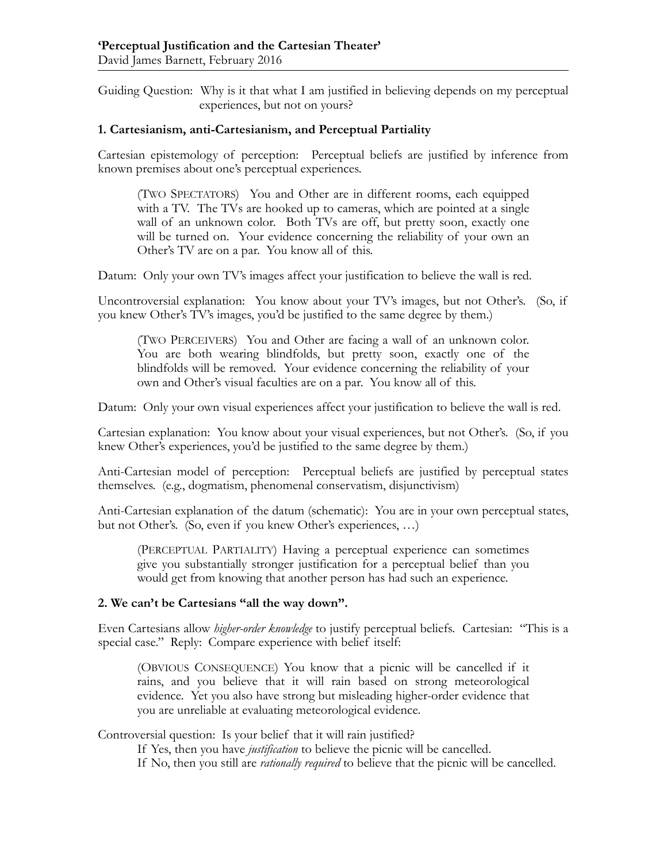Guiding Question: Why is it that what I am justified in believing depends on my perceptual experiences, but not on yours?

## **1. Cartesianism, anti-Cartesianism, and Perceptual Partiality**

Cartesian epistemology of perception: Perceptual beliefs are justified by inference from known premises about one's perceptual experiences.

(TWO SPECTATORS) You and Other are in different rooms, each equipped with a TV. The TVs are hooked up to cameras, which are pointed at a single wall of an unknown color. Both TVs are off, but pretty soon, exactly one will be turned on. Your evidence concerning the reliability of your own an Other's TV are on a par. You know all of this.

Datum: Only your own TV's images affect your justification to believe the wall is red.

Uncontroversial explanation: You know about your TV's images, but not Other's. (So, if you knew Other's TV's images, you'd be justified to the same degree by them.)

(TWO PERCEIVERS) You and Other are facing a wall of an unknown color. You are both wearing blindfolds, but pretty soon, exactly one of the blindfolds will be removed. Your evidence concerning the reliability of your own and Other's visual faculties are on a par. You know all of this.

Datum: Only your own visual experiences affect your justification to believe the wall is red.

Cartesian explanation: You know about your visual experiences, but not Other's. (So, if you knew Other's experiences, you'd be justified to the same degree by them.)

Anti-Cartesian model of perception: Perceptual beliefs are justified by perceptual states themselves. (e.g., dogmatism, phenomenal conservatism, disjunctivism)

Anti-Cartesian explanation of the datum (schematic): You are in your own perceptual states, but not Other's. (So, even if you knew Other's experiences, …)

(PERCEPTUAL PARTIALITY) Having a perceptual experience can sometimes give you substantially stronger justification for a perceptual belief than you would get from knowing that another person has had such an experience.

## **2. We can't be Cartesians "all the way down".**

Even Cartesians allow *higher-order knowledge* to justify perceptual beliefs. Cartesian: "This is a special case." Reply: Compare experience with belief itself:

(OBVIOUS CONSEQUENCE) You know that a picnic will be cancelled if it rains, and you believe that it will rain based on strong meteorological evidence. Yet you also have strong but misleading higher-order evidence that you are unreliable at evaluating meteorological evidence.

Controversial question: Is your belief that it will rain justified?

If Yes, then you have *justification* to believe the picnic will be cancelled.

If No, then you still are *rationally required* to believe that the picnic will be cancelled.